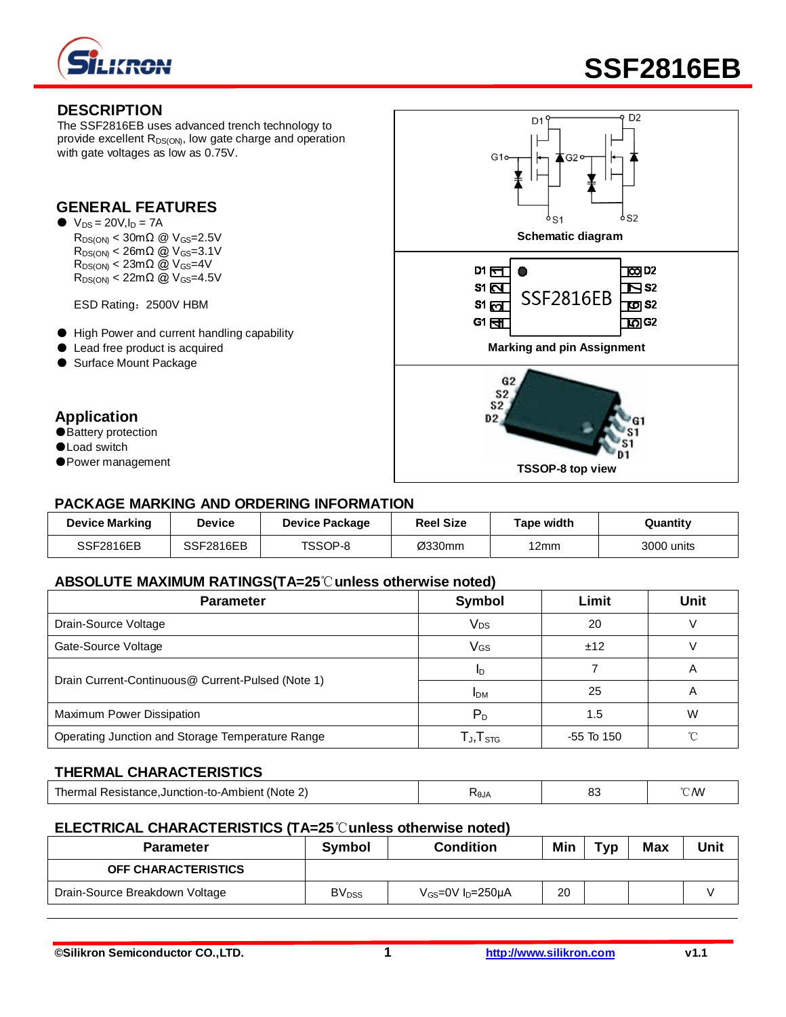

# **SSF2816EB**

#### **DESCRIPTION**

The SSF2816EB uses advanced trench technology to provide excellent  $R_{DS(ON)}$ , low gate charge and operation with gate voltages as low as 0.75V.

#### **GENERAL FEATURES**

 $\bullet\ \text{V}_{\text{DS}} = 20 \text{V}, \text{I}_{\text{D}} = 7 \text{A}$  $R_{DS(ON)} < 30 \text{m}\Omega \text{ } \textcircled{2}$  V<sub>GS</sub>=2.5V  $R_{DS(ON)} < 26m\Omega$  @ V<sub>GS</sub>=3.1V  $R_{DS(ON)} < 23m\Omega$  @  $V_{GS}=4V$  $R_{DS(ON)} < 22 \text{m}\Omega \stackrel{\frown}{\omega} V_{GS} = 4.5 \text{V}$ 

ESD Rating:2500V HBM

- High Power and current handling capability
- Lead free product is acquired
- Surface Mount Package

## **Application**

- Battery protection
- ●Load switch
- ●Power management



#### **PACKAGE MARKING AND ORDERING INFORMATION**

| <b>Device Marking</b> | <b>Device</b> | <b>Device Package</b> | <b>Reel Size</b> | Tape width | Quantity   |
|-----------------------|---------------|-----------------------|------------------|------------|------------|
| <b>SSF2816EB</b>      | SSF2816EB     | TSSOP-8               | Ø330mm           | 12mm       | 3000 units |

#### **ABSOLUTE MAXIMUM RATINGS(TA=25**℃**unless otherwise noted)**

| <b>Parameter</b>                                  | Symbol                                               | Limit        | <b>Unit</b> |
|---------------------------------------------------|------------------------------------------------------|--------------|-------------|
| Drain-Source Voltage                              | Vps                                                  | 20           |             |
| Gate-Source Voltage                               | Vgs                                                  | ±12          |             |
| Drain Current-Continuous@ Current-Pulsed (Note 1) | ID                                                   |              | A           |
|                                                   | <b>IDM</b>                                           | 25           | A           |
| Maximum Power Dissipation                         | $P_D$                                                | 1.5          | W           |
| Operating Junction and Storage Temperature Range  | $\mathsf{T}_{\mathsf{J}}, \mathsf{T}_{\mathsf{STG}}$ | $-55$ To 150 | °∩          |

## **THERMAL CHARACTERISTICS**

| Resistance.Junction-to-Ambient<br>'Note<br> | ั∿0JA | ~~<br>ບເ | CM <sup>'</sup> |
|---------------------------------------------|-------|----------|-----------------|
|                                             |       |          |                 |

#### **ELECTRICAL CHARACTERISTICS (TA=25**℃**unless otherwise noted)**

| <b>Parameter</b>               | Symbol                  | Condition                 | Min | тур | Max | Unit |
|--------------------------------|-------------------------|---------------------------|-----|-----|-----|------|
| <b>OFF CHARACTERISTICS</b>     |                         |                           |     |     |     |      |
| Drain-Source Breakdown Voltage | <b>BV<sub>DSS</sub></b> | $V_{GS}$ =0V $I_D$ =250µA | 20  |     |     |      |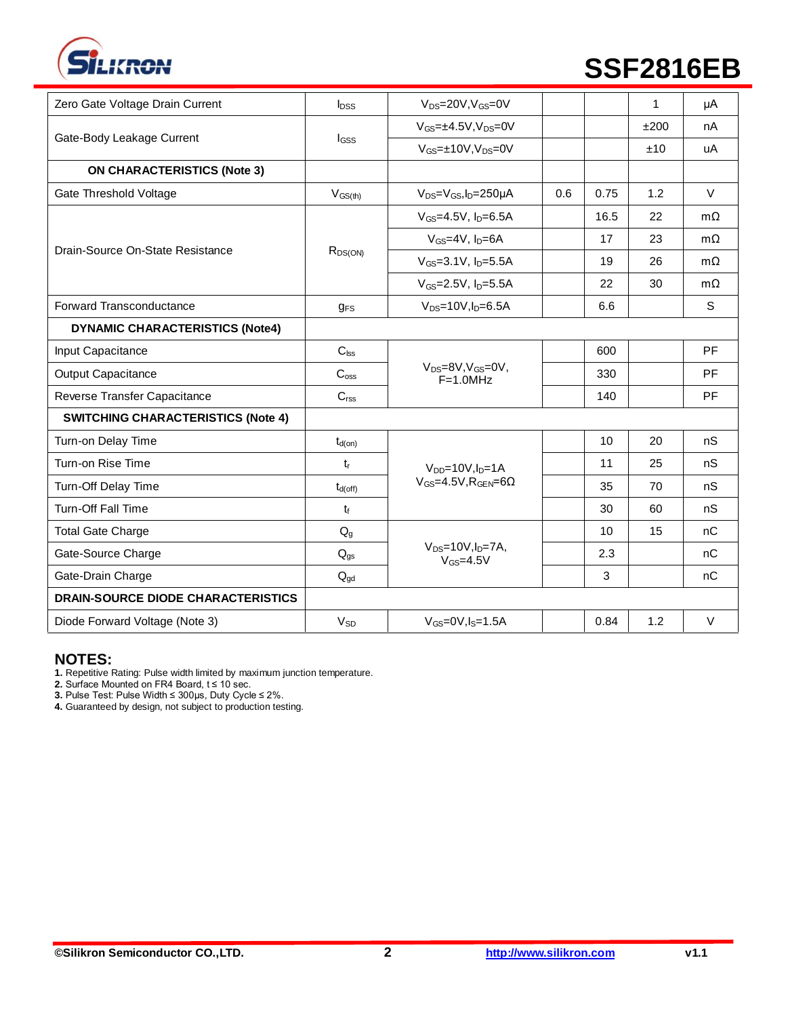

# **SSF2816EB**

| Zero Gate Voltage Drain Current           |                       | $V_{DS} = 20V$ , $V_{GS} = 0V$                       |     |      | $\mathbf{1}$ |           |
|-------------------------------------------|-----------------------|------------------------------------------------------|-----|------|--------------|-----------|
|                                           | $I_{DSS}$             |                                                      |     |      |              | μA        |
| Gate-Body Leakage Current                 | $I_{GSS}$             | $V_{GS} = \pm 4.5V$ , $V_{DS} = 0V$                  |     |      | ±200         | nA        |
|                                           |                       | $V_{GS} = \pm 10V, V_{DS} = 0V$                      |     |      | ±10          | uA        |
| <b>ON CHARACTERISTICS (Note 3)</b>        |                       |                                                      |     |      |              |           |
| Gate Threshold Voltage                    | $V_{GS(th)}$          | $V_{DS} = V_{GS}$ , $I_D = 250 \mu A$                | 0.6 | 0.75 | 1.2          | $\vee$    |
|                                           |                       | $V_{GS} = 4.5V$ , $I_D = 6.5A$                       |     | 16.5 | 22           | $m\Omega$ |
| Drain-Source On-State Resistance          |                       | $V_{GS}$ =4V, $I_D$ =6A                              |     | 17   | 23           | $m\Omega$ |
|                                           | $R_{DS(ON)}$          | $V_{GS} = 3.1 V, I_D = 5.5 A$                        |     | 19   | 26           | $m\Omega$ |
|                                           |                       | $V_{GS} = 2.5V$ , $I_D = 5.5A$                       |     | 22   | 30           | $m\Omega$ |
| Forward Transconductance                  | $q_{FS}$              | $V_{DS} = 10V, I_D = 6.5A$                           |     | 6.6  |              | S         |
| <b>DYNAMIC CHARACTERISTICS (Note4)</b>    |                       |                                                      |     |      |              |           |
| Input Capacitance                         | C <sub>lss</sub>      |                                                      |     | 600  |              | PF        |
| <b>Output Capacitance</b>                 | $C_{\text{oss}}$      | $V_{DS} = 8V$ , $V_{GS} = 0V$ ,<br>$F=1.0MHz$        |     | 330  |              | PF        |
| Reverse Transfer Capacitance              | C <sub>rss</sub>      |                                                      |     | 140  |              | PF        |
| <b>SWITCHING CHARACTERISTICS (Note 4)</b> |                       |                                                      |     |      |              |           |
| Turn-on Delay Time                        | $t_{d(on)}$           |                                                      |     | 10   | 20           | nS        |
| Turn-on Rise Time                         | $t_{r}$               | $V_{DD} = 10V$ , $I_D = 1A$                          |     | 11   | 25           | nS        |
| Turn-Off Delay Time                       | $t_{d(off)}$          | $V_{GS} = 4.5V$ , $R_{GEN} = 6\Omega$                |     | 35   | 70           | nS        |
| <b>Turn-Off Fall Time</b>                 | $t_{\rm f}$           |                                                      |     | 30   | 60           | nS        |
| <b>Total Gate Charge</b>                  | $Q_{q}$               |                                                      |     | 10   | 15           | nC        |
| Gate-Source Charge                        | $Q_{gs}$              | $V_{DS} = 10V, I_D = 7A,$<br>$V$ <sub>GS</sub> =4.5V |     | 2.3  |              | nC        |
| Gate-Drain Charge                         | $Q_{qd}$              |                                                      |     | 3    |              | nC        |
| <b>DRAIN-SOURCE DIODE CHARACTERISTICS</b> |                       |                                                      |     |      |              |           |
| Diode Forward Voltage (Note 3)            | <b>V<sub>SD</sub></b> | $V_{GS} = 0V$ , $I_S = 1.5A$                         |     | 0.84 | 1.2          | $\vee$    |
|                                           |                       |                                                      |     |      |              |           |

#### **NOTES:**

**1.** Repetitive Rating: Pulse width limited by maximum junction temperature.

**2.** Surface Mounted on FR4 Board, t ≤ 10 sec.

**3.** Pulse Test: Pulse Width ≤ 300μs, Duty Cycle ≤ 2%.

**4.** Guaranteed by design, not subject to production testing.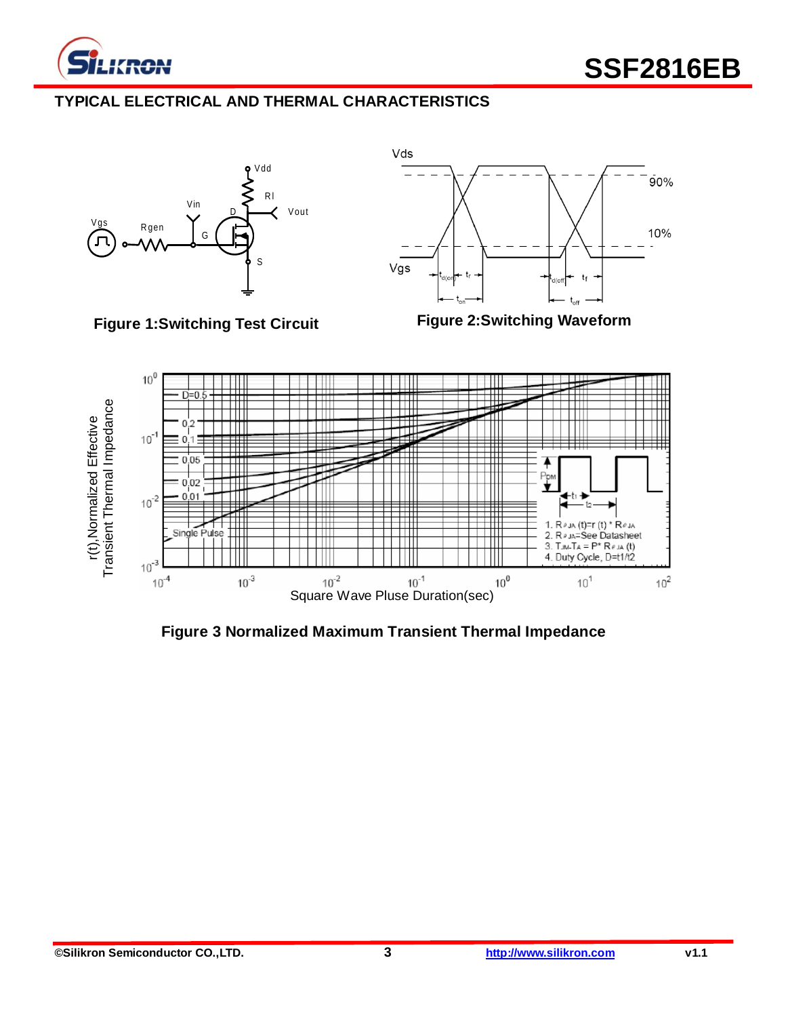

# **TYPICAL ELECTRICAL AND THERMAL CHARACTERISTICS**





**Figure 1:Switching Test Circuit**





**Figure 3 Normalized Maximum Transient Thermal Impedance**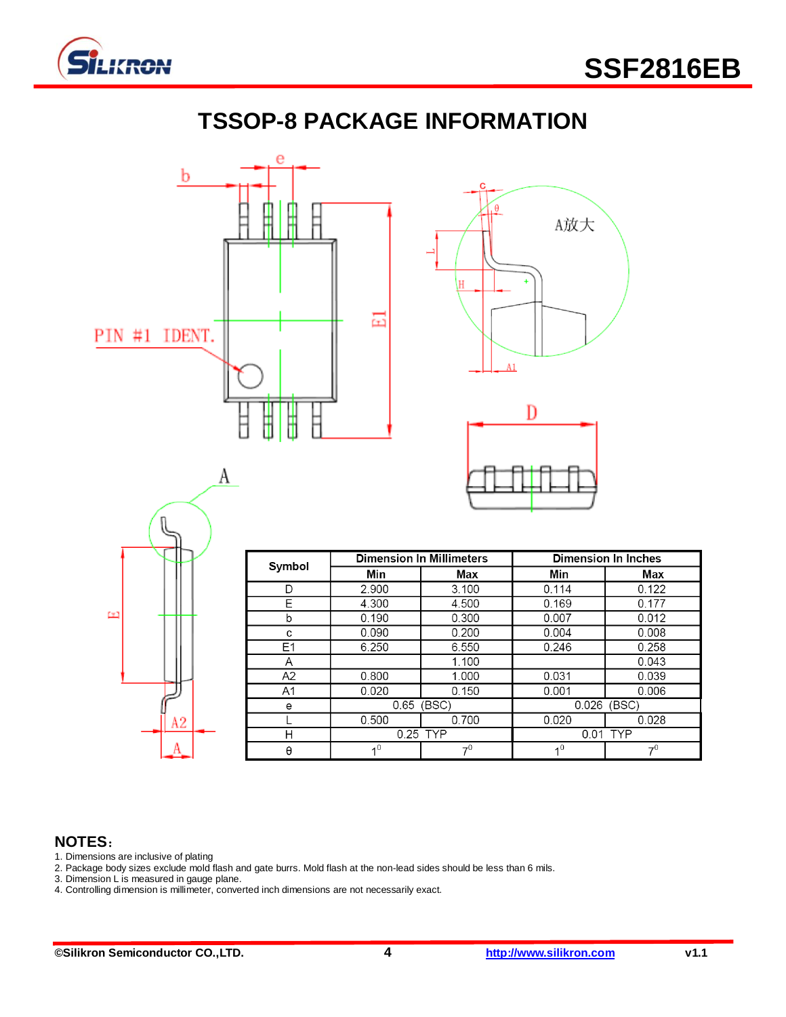

# **TSSOP-8 PACKAGE INFORMATION**









| Symbol         |                | <b>Dimension In Millimeters</b> | <b>Dimension In Inches</b> |       |  |
|----------------|----------------|---------------------------------|----------------------------|-------|--|
|                | Min            | Max                             | Min                        | Max   |  |
| D              | 2.900          | 3.100                           | 0.114                      | 0.122 |  |
| Е              | 4.300          | 4.500                           | 0.169                      | 0.177 |  |
| b              | 0.190          | 0.300                           | 0.007                      | 0.012 |  |
| c              | 0.090          | 0.200                           | 0.004                      | 0.008 |  |
| E <sub>1</sub> | 6.250          | 6.550                           | 0.246                      | 0.258 |  |
| A              |                | 1.100                           |                            | 0.043 |  |
| A2             | 0.800          | 1.000                           | 0.031                      | 0.039 |  |
| A <sub>1</sub> | 0.020          | 0.150                           | 0.001                      | 0.006 |  |
| e              | 0.65           | (BSC)                           |                            | (BSC) |  |
|                | 0.500          | 0.700                           | 0.020                      | 0.028 |  |
| н              | 0.25 TYP       |                                 | 0.01 TYP                   |       |  |
| θ              | 4 <sup>0</sup> | 7 <sup>0</sup>                  | 1 <sup>0</sup>             | 70    |  |

# **NOTES**:

- 1. Dimensions are inclusive of plating
- 2. Package body sizes exclude mold flash and gate burrs. Mold flash at the non-lead sides should be less than 6 mils.
- 3. Dimension L is measured in gauge plane.
- 4. Controlling dimension is millimeter, converted inch dimensions are not necessarily exact.